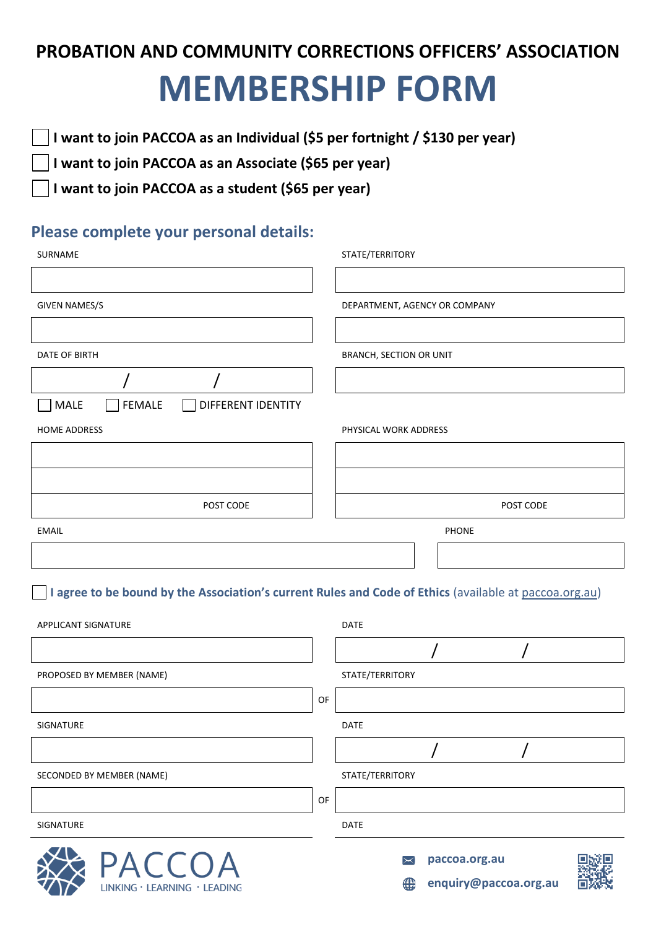## **PROBATION AND COMMUNITY CORRECTIONS OFFICERS' ASSOCIATION MEMBERSHIP FORM**

**I want to join PACCOA as an Individual (\$5 per fortnight / \$130 per year)**

**I want to join PACCOA as an Associate (\$65 per year)**

**I want to join PACCOA as a student (\$65 per year)**

## **Please complete your personal details:**

| SURNAME                                              | STATE/TERRITORY               |
|------------------------------------------------------|-------------------------------|
|                                                      |                               |
| <b>GIVEN NAMES/S</b>                                 | DEPARTMENT, AGENCY OR COMPANY |
|                                                      |                               |
| DATE OF BIRTH                                        | BRANCH, SECTION OR UNIT       |
|                                                      |                               |
| FEMALE<br>MALE<br>DIFFERENT IDENTITY<br>$\mathbf{I}$ |                               |
| <b>HOME ADDRESS</b>                                  | PHYSICAL WORK ADDRESS         |
|                                                      |                               |
|                                                      |                               |
| POST CODE                                            | POST CODE                     |
| <b>EMAIL</b>                                         | <b>PHONE</b>                  |
|                                                      |                               |

**I agree to be bound by the Association's current Rules and Code of Ethics** (available at [paccoa.org.au\)](http://www.paccoa.org.au/)

| APPLICANT SIGNATURE          |    | <b>DATE</b>     |                       |  |
|------------------------------|----|-----------------|-----------------------|--|
|                              |    |                 |                       |  |
| PROPOSED BY MEMBER (NAME)    |    | STATE/TERRITORY |                       |  |
|                              | OF |                 |                       |  |
| SIGNATURE                    |    | <b>DATE</b>     |                       |  |
|                              |    |                 |                       |  |
| SECONDED BY MEMBER (NAME)    |    | STATE/TERRITORY |                       |  |
|                              | OF |                 |                       |  |
| SIGNATURE                    |    | <b>DATE</b>     |                       |  |
| <b>PACCOA</b>                |    | $\asymp$        | paccoa.org.au         |  |
| LINKING · LEARNING · LEADING |    | ⊕               | enquiry@paccoa.org.au |  |